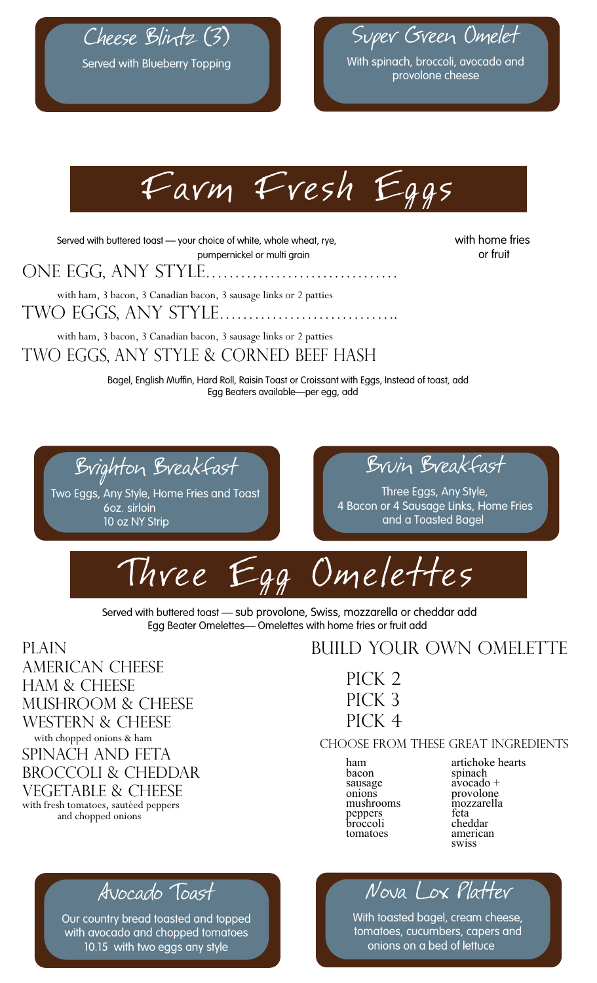

Cheese Blintz (3)



With spinach, broccoli, avocado and provolone cheese



Served with buttered toast — your choice of white, whole wheat, rye, with home fries pumpernickel or multi grain and the control of fruit

ONE EGG, ANY STYLE…………………………… with ham, 3 bacon, 3 Canadian bacon, 3 sausage links or 2 patties

Two Eggs, Any Style………………………….6.85 7.45

with ham, 3 bacon, 3 Canadian bacon, 3 sausage links or 2 patties Two Eggs, Any Style & Corned Beef Hash 9.05 9.80

> Bagel, English Muffin, Hard Roll, Raisin Toast or Croissant with Eggs, Instead of toast, add Egg Beaters available—per egg, add

Brighton Breakfast

Two Eggs, Any Style, Home Fries and Toast 6oz. sirloin 10 oz NY Strip



Three Eggs, Any Style, 4 Bacon or 4 Sausage Links, Home Fries and a Toasted Bagel



Served with buttered toast — sub provolone, Swiss, mozzarella or cheddar add Egg Beater Omelettes— Omelettes with home fries or fruit add

PLAIN AMERICAN CHEESE HAM & CHEESE MUSHROOM & CHEESE WESTERN & CHEESE<br>with chopped onions & ham SPINACH AND FETA BROCCOLI & CHEDDAR VEGETABLE & CHEESE with fresh tomatoes, sautéed peppers and chopped onions

#### BUILD YOUR OWN OMELETTE

 $PICK 2$ PICK 3  $PICK 4$ 

#### choose from these great ingredients

bacon spinach<br>sausage avocado onions provolone<br>mushrooms mozzarella<br>neppers feta peppers feta broccoli cheddar tomatoes american

ham artichoke hearts<br>bacon spinach  $a\overline{v}o\overline{c}a\overline{d}o$  + swiss

### Avocado Toast

Our country bread toasted and topped with avocado and chopped tomatoes 10.15 with two eggs any style

 $\sqrt{a^2+a^2}$ *No*va Lox Platter

**With toasted bagel, cream cheese,** tomatoes, cucumbers, capers and with fresh tomatoes on a bed of lettuce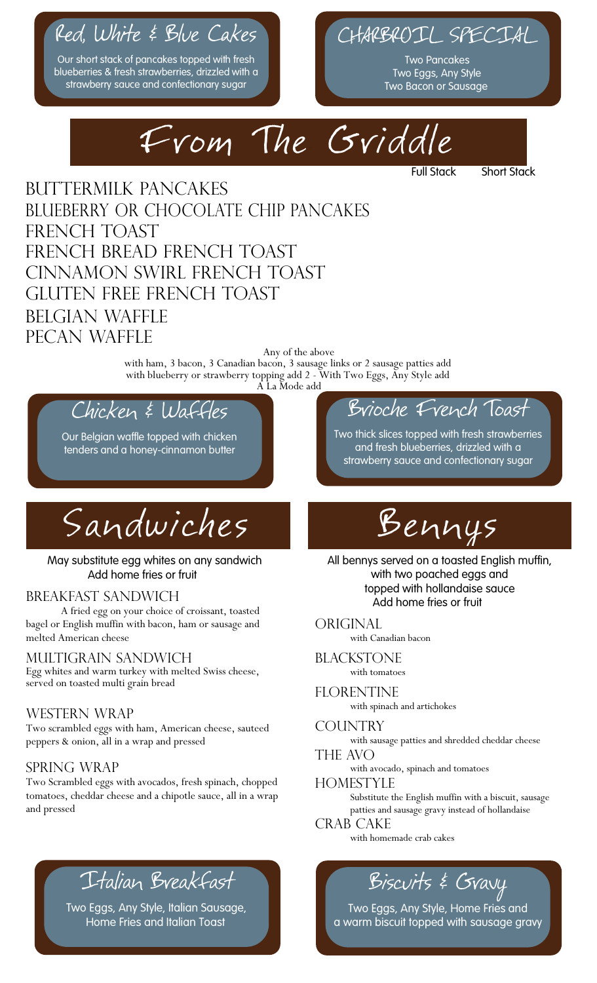# Red, White & Blue Cakes CHARG

Our short stack of pancakes topped with fresh blueberries & fresh strawberries, drizzled with a strawberry sauce and confectionary sugar

l

## CHARBROIL SPECIAL

Two Pancakes Two Eggs, Any Style Two Bacon or Sausage

**Short Stack** 



#### BUTTERMILK PANCAKES BLUEBERRY OR CHOCOLATE CHIP PANCAKES FRENCH TOAST FRENCH BREAD FRENCH TOAST Cinnamon swirl French toast 8.00 7.60 Gluten Free French Toast 8.95 8.85 BELGIAN WAFFLE PECAN WAFFLE

Any of the above with ham, 3 bacon, 3 Canadian bacon, 3 sausage links or 2 sausage patties add with blueberry or strawberry topping add 2 - With Two Eggs, Any Style add A La Mode add

### Chicken & Waffles

Our Belgian waffle topped with chicken tenders and a honey-cinnamon butter

Sandwiches

May substitute egg whites on any sandwich Add home fries or fruit

#### BREAKFAST SANDWICH

A fried egg on your choice of croissant, toasted bagel or English muffin with bacon, ham or sausage and melted American cheese

#### Multigrain sandwich 6.75

Egg whites and warm turkey with melted Swiss cheese, served on toasted multi grain bread

#### WESTERN WRAP

Two scrambled eggs with ham, American cheese, sauteed peppers & onion, all in a wrap and pressed

#### SPRING WRAP

Two Scrambled eggs with avocados, fresh spinach, chopped tomatoes, cheddar cheese and a chipotle sauce, all in a wrap and pressed

## Italian Breakfast

Two Eggs, Any Style, Italian Sausage, Home Fries and Italian Toast

### Brioche French Toast

Two thick slices topped with fresh strawberries and fresh blueberries, drizzled with a strawberry sauce and confectionary sugar



All bennys served on a toasted English muffin, with two poached eggs and with two poached eggs and<br>topped with hollandaise sauce Add home fries or fruit

**ORIGINAL** with Canadian bacon

#### **BLACKSTONE**

with tomatoes

#### **FLORENTINE**

with spinach and artichokes

#### **COUNTRY**

with sausage patties and shredded cheddar cheese

#### THE AVO

with avocado, spinach and tomatoes

#### **HOMESTYLE**

Substitute the English muffin with a biscuit, sausage patties and sausage gravy instead of hollandaise

#### CRAB CAKE

with homemade crab cakes

## $B$ iscuits & Gravy

Two Eggs, Any Style, Home Fries and a warm biscuit topped with sausage gravy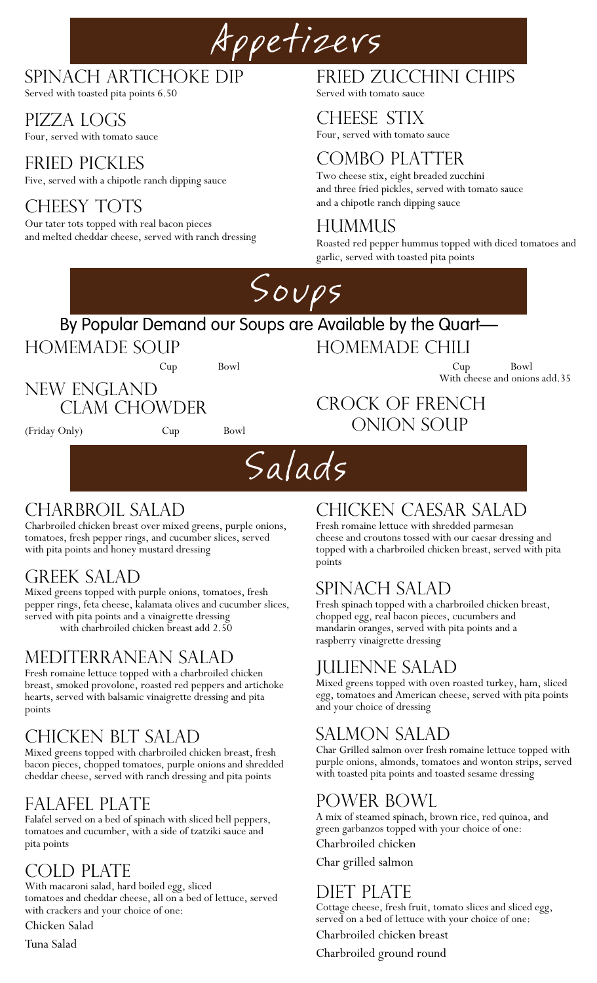# Appetizers

#### SPINACH ARTICHOKE DIP

Served with toasted pita points 6.50

PIZZA LOGS

Four, served with tomato sauce

FRIED PICKLES Five, served with a chipotle ranch dipping sauce

#### CHEESY TOTS

Our tater tots topped with real bacon pieces and melted cheddar cheese, served with ranch dressing

## FRIED ZUCCHINI CHIPS

Served with tomato sauce

#### CHEESE STIX

Four, served with tomato sauce

#### COMBO PLATTER

Two cheese stix, eight breaded zucchini and three fried pickles, served with tomato sauce and a chipotle ranch dipping sauce

#### HUMMUS

Roasted red pepper hummus topped with diced tomatoes and garlic, served with toasted pita points



#### By Popular Demand our Soups are Available by the Quart-

HOMEMADE SOUP<br>Cup Bowl

New England

HOMEMADE CHILI<br>Cup Bowl

Crock Of French

ONION SOUP

With cheese and onions add.35

Clam Chowder

(Friday Only) Cup Bowl



### CHARBROIL SALAD

Charbroiled chicken breast over mixed greens, purple onions, tomatoes, fresh pepper rings, and cucumber slices, served with pita points and honey mustard dressing

#### GREEK SALAD

Mixed greens topped with purple onions, tomatoes, fresh pepper rings, feta cheese, kalamata olives and cucumber slices, served with pita points and a vinaigrette dressing with charbroiled chicken breast add 2.50

#### MEDITERRANEAN SALAD

Fresh romaine lettuce topped with a charbroiled chicken breast, smoked provolone, roasted red peppers and artichoke hearts, served with balsamic vinaigrette dressing and pita points

#### CHICKEN BLT SALAD

Mixed greens topped with charbroiled chicken breast, fresh bacon pieces, chopped tomatoes, purple onions and shredded cheddar cheese, served with ranch dressing and pita points

#### FALAFEL PLATE

Falafel served on a bed of spinach with sliced bell peppers, tomatoes and cucumber, with a side of tzatziki sauce and pita points

COLD PLATE<br>With macaroni salad, hard boiled egg, sliced tomatoes and cheddar cheese, all on a bed of lettuce, served with crackers and your choice of one:

Chicken Salad

Tuna Salad

#### CHICKEN CAESAR SALAD

Fresh romaine lettuce with shredded parmesan cheese and croutons tossed with our caesar dressing and topped with a charbroiled chicken breast, served with pita points

#### Spinach Salad 13.95

Fresh spinach topped with a charbroiled chicken breast, chopped egg, real bacon pieces, cucumbers and mandarin oranges, served with pita points and a raspberry vinaigrette dressing

#### JULIENNE SALAD

Mixed greens topped with oven roasted turkey, ham, sliced egg, tomatoes and American cheese, served with pita points and your choice of dressing

#### SALMON SALAD

Char Grilled salmon over fresh romaine lettuce topped with purple onions, almonds, tomatoes and wonton strips, served with toasted pita points and toasted sesame dressing

#### Power Bowl

A mix of steamed spinach, brown rice, red quinoa, and green garbanzos topped with your choice of one: Charbroiled chicken

Char grilled salmon

#### Diet Plate

Cottage cheese, fresh fruit, tomato slices and sliced egg, served on a bed of lettuce with your choice of one:

Charbroiled chicken breast

Charbroiled ground round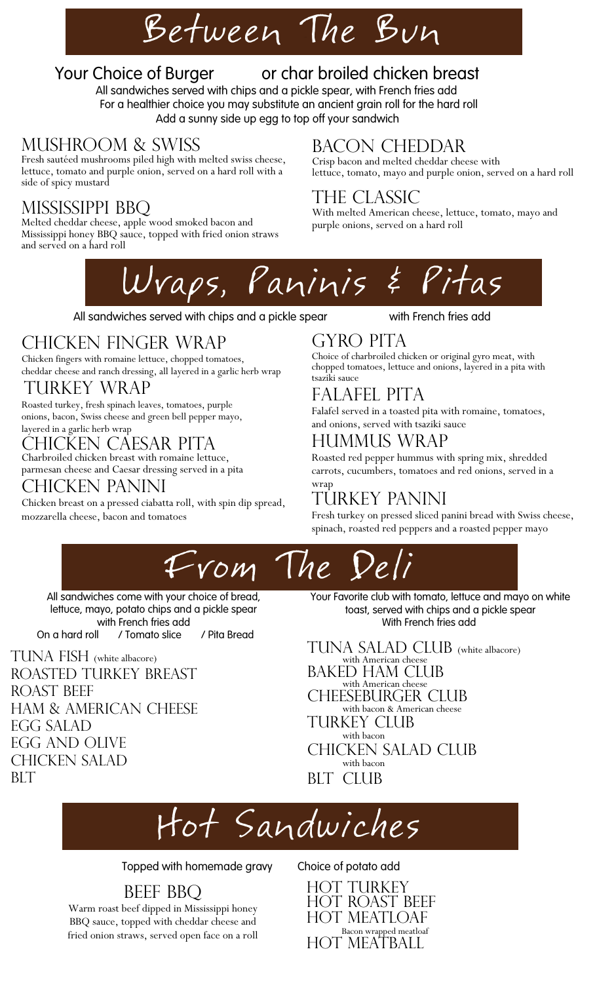# Between The Bun

#### Your Choice of Burger 12.50 or char broiled chicken breast

All sandwiches served with chips and a pickle spear, with French fries add For a healthier choice you may substitute an ancient grain roll for the hard roll Add a sunny side up egg to top off your sandwich

#### mushroom & Swiss

Fresh sautéed mushrooms piled high with melted swiss cheese, Crisp bacon and melted chedd lettuce, tomato and purple onion, served on a hard roll with a side of spicy mustard

MISSISSIPPI BBQ<br>Melted cheddar cheese, apple wood smoked bacon and Mississippi honey BBQ sauce, topped with fried onion straws and served on a hard roll

# BACON CHEDDAR<br>Crisp bacon and melted cheddar cheese with

lettuce, tomato, mayo and purple onion, served on a hard roll

#### The Classic

With melted American cheese, lettuce, tomato, mayo and purple onions, served on a hard roll



All sandwiches served with chips and a pickle spear with French fries add

### CHICKEN FINGER WRAP

Chicken fingers with romaine lettuce, chopped tomatoes, cheddar cheese and ranch dressing, all layered in a garlic herb wrap

#### TURKEY WRAP

Roasted turkey, fresh spinach leaves, tomatoes, purple onions, bacon, Swiss cheese and green bell pepper mayo, layered in a garlic herb wrap

#### CHICKEN CAESAR PITA

Charbroiled chicken breast with romaine lettuce, parmesan cheese and Caesar dressing served in a pita

#### CHICKEN PANINI

Chicken breast on a pressed ciabatta roll, with spin dip spread, mozzarella cheese, bacon and tomatoes

#### GYRO PITA

Choice of charbroiled chicken or original gyro meat, with chopped tomatoes, lettuce and onions, layered in a pita with tsaziki sauce

#### Falafel Pita 12.25

Falafel served in a toasted pita with romaine, tomatoes, and onions, served with tsaziki sauce

#### HUMMUS WRAP

Roasted red pepper hummus with spring mix, shredded carrots, cucumbers, tomatoes and red onions, served in a wrap

### TURKEY PANINI

Fresh turkey on pressed sliced panini bread with Swiss cheese, spinach, roasted red peppers and a roasted pepper mayo



All sandwiches come with your choice of bread, lettuce, mayo, potato chips and a pickle spear with French fries add On a hard roll / Tomato slice / Pita Bread

TUNA FISH (white albacore) ROASTED TURKEY BREAST ROAST BEEF HAM & AMERICAN CHEESE EGG SALAD EGG AND OLIVE CHICKEN SALAD BLT 7.855 and 7.855 and 7.855 and 7.855 and 7.855 and 7.855 and 7.855 and 7.855 and 7.855 and 7.855 and 7.855 and 7.855 and 7.855 and 7.855 and 7.855 and 7.855 and 7.855 and 7.855 and 7.855 and 7.855 and 7.855 and 7.855 an Your Favorite club with tomato, lettuce and mayo on white toast, served with chips and a pickle spear With French fries add

TUNA SALAD CLUB (white albacore) with American cheese BAKED HAM CLUB with American cheese CHEESEBURGER CLUB with bacon & American cheese TURKEY CLUB with bacon CHICKEN SALAD CLUB with bacon BLT CLUB

# Hot Sandwiches

Topped with homemade gravy Choice of potato add

### BEEF BBQ

Warm roast beef dipped in Mississippi honey BBQ sauce, topped with cheddar cheese and fried onion straws, served open face on a roll

HOT TURKEY HOT ROAST BEEF HOT MEATLOAF Bacon wrapped meatloaf HOT MEATBALL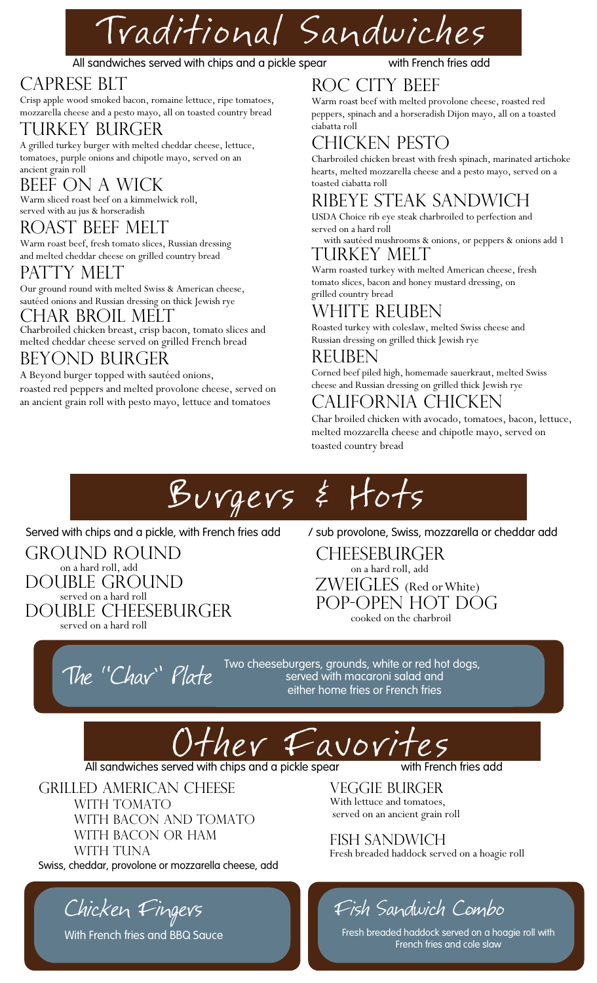# Traditional Sandwiches

#### All sandwiches served with chips and a pickle spear with French fries add

#### CAPRESE BLT

Crisp apple wood smoked bacon, romaine lettuce, ripe tomatoes, mozzarella cheese and a pesto mayo, all on toasted country bread

#### TURKEY BURGER

A grilled turkey burger with melted cheddar cheese, lettuce, tomatoes, purple onions and chipotle mayo, served on an ancient grain roll

#### BEEF ON A WICK

Warm sliced roast beef on a kimmelwick roll, served with au jus & horseradish

#### ROAST BEEF MELT

Warm roast beef, fresh tomato slices, Russian dressing and melted cheddar cheese on grilled country bread

#### PATTY MELT

Our ground round with melted Swiss & American cheese, sautéed onions and Russian dressing on thick Jewish rye

#### CHAR BROIL MELT

Charbroiled chicken breast, crisp bacon, tomato slices and melted cheddar cheese served on grilled French bread

#### BEYOND BURGER

A Beyond burger topped with sautéed onions, roasted red peppers and melted provolone cheese, served on an ancient grain roll with pesto mayo, lettuce and tomatoes

#### ROC CITY BEEF

Warm roast beef with melted provolone cheese, roasted red peppers, spinach and a horseradish Dijon mayo, all on a toasted ciabatta roll

#### CHICKEN PESTO

Charbroiled chicken breast with fresh spinach, marinated artichoke hearts, melted mozzarella cheese and a pesto mayo, served on a toasted ciabatta roll

#### Ribeye Steak Sandwich 12.90

USDA Choice rib eye steak charbroiled to perfection and served on a hard roll

#### with sautéed mushrooms & onions, or peppers & onions add 1 TURKEY MELT

Warm roasted turkey with melted American cheese, fresh tomato slices, bacon and honey mustard dressing, on grilled country bread

#### WHITE REUBEN

Roasted turkey with coleslaw, melted Swiss cheese and Russian dressing on grilled thick Jewish rye

#### REUBEN

Corned beef piled high, homemade sauerkraut, melted Swiss cheese and Russian dressing on grilled thick Jewish rye

#### CALIFORNIA CHICKEN

Char broiled chicken with avocado, tomatoes, bacon, lettuce, melted mozzarella cheese and chipotle mayo, served on toasted country bread

# Burgers & Hots

Served with chips and a pickle, with French fries add  $\rightarrow$  / sub provolone, Swiss, mozzarella or cheddar add

GROUND ROUND on a hard roll, add DOUBLE GROUND served on a hard roll DOUBLE CHEESEBURGER served on a hard roll

CHEESEBURGER on a hard roll, add ZWEIGLES (Red or White) Pop-Open Hot Dog cooked on the charbroil

The "Chay" Plate Two cheeseburgers, grounds, white or red hot dogs,<br>Served with macaroni salad and served with macaroni salad and either home fries or French fries



Grilled American Cheese WITH TOMATO WITH BACON AND TOMATO WITH BACON OR HAM WITH TUNA Swiss, cheddar, provolone or mozzarella cheese, add

Chicken Fingers

With French fries and BBQ Sauce

VEGGIE BURGER<br>With lettuce and tomatoes, served on an ancient grain roll

Fish Sandwich 10.75 Fresh breaded haddock served on a hoagie roll

## Fish Sandwich Combo

Fresh breaded haddock served on a hoagie roll with French fries and cole slaw